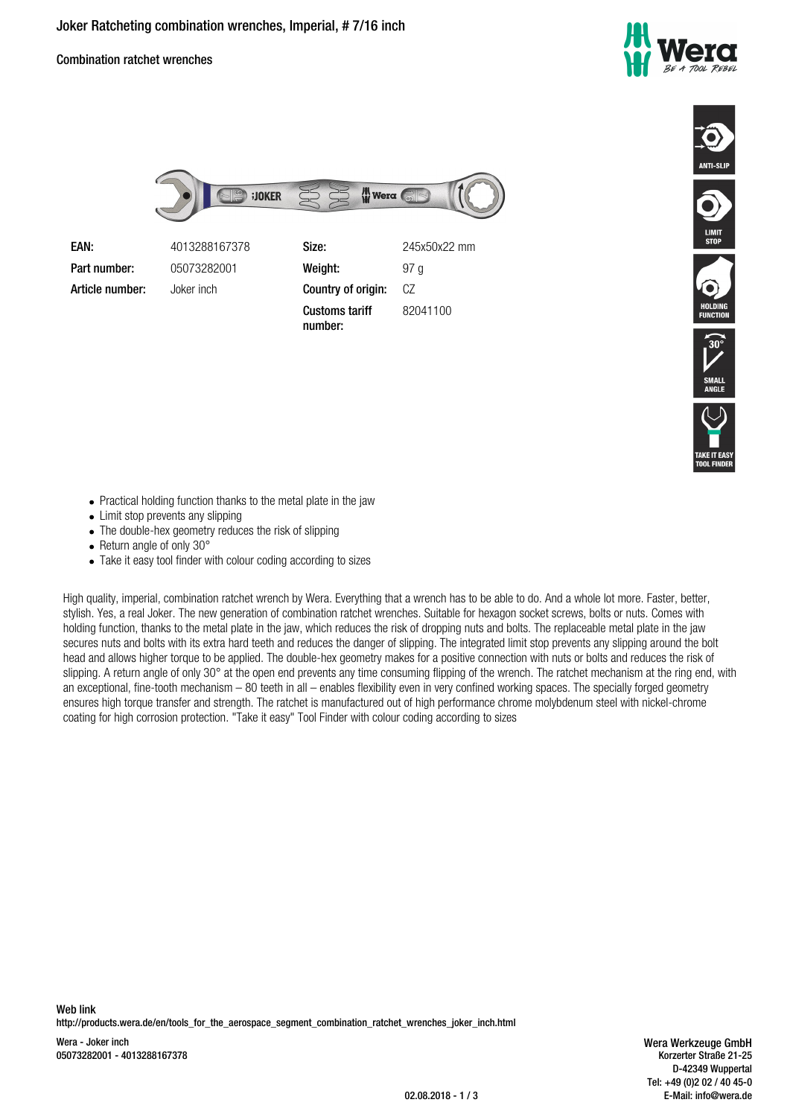Combination ratchet wrenches





**EAN:** 4013288167378 **Size:** 245x50x22 mm **Part number:** 05073282001 **Weight:** 97 g **Article number:** Joker inch **Country of origin:** CZ **Customs tariff number:**









- Practical holding function thanks to the metal plate in the jaw
- Limit stop prevents any slipping
- The double-hex geometry reduces the risk of slipping
- $\bullet$  Return angle of only 30 $^{\circ}$
- Take it easy tool finder with colour coding according to sizes

High quality, imperial, combination ratchet wrench by Wera. Everything that a wrench has to be able to do. And a whole lot more. Faster, better, stylish. Yes, a real Joker. The new generation of combination ratchet wrenches. Suitable for hexagon socket screws, bolts or nuts. Comes with holding function, thanks to the metal plate in the jaw, which reduces the risk of dropping nuts and bolts. The replaceable metal plate in the jaw secures nuts and bolts with its extra hard teeth and reduces the danger of slipping. The integrated limit stop prevents any slipping around the bolt head and allows higher torque to be applied. The double-hex geometry makes for a positive connection with nuts or bolts and reduces the risk of slipping. A return angle of only 30° at the open end prevents any time consuming flipping of the wrench. The ratchet mechanism at the ring end, with an exceptional, fine-tooth mechanism – 80 teeth in all – enables flexibility even in very confined working spaces. The specially forged geometry ensures high torque transfer and strength. The ratchet is manufactured out of high performance chrome molybdenum steel with nickel-chrome coating for high corrosion protection. "Take it easy" Tool Finder with colour coding according to sizes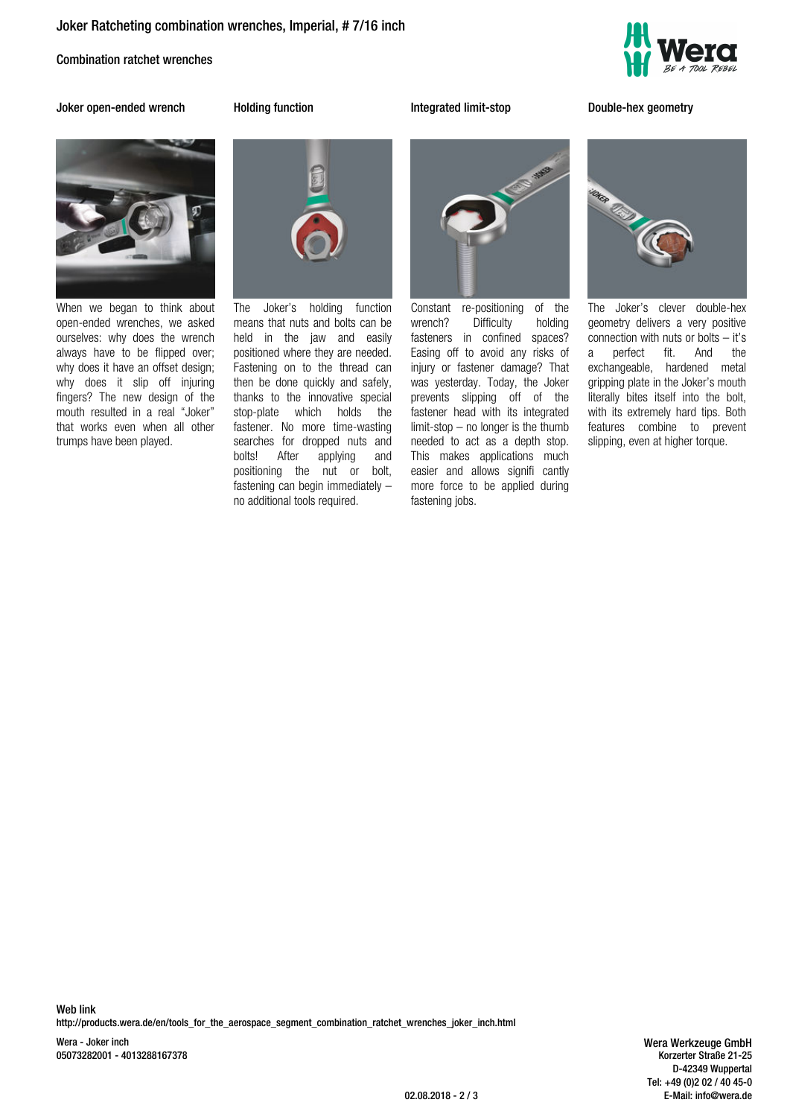Combination ratchet wrenches



**Joker open-ended wrench Holding function Integrated limit-stop Double-hex geometry**



When we began to think about open-ended wrenches, we asked ourselves: why does the wrench always have to be flipped over; why does it have an offset design; why does it slip off injuring fingers? The new design of the mouth resulted in a real "Joker" that works even when all other trumps have been played.



The Joker's holding function means that nuts and bolts can be held in the jaw and easily positioned where they are needed. Fastening on to the thread can then be done quickly and safely, thanks to the innovative special stop-plate which holds the fastener. No more time-wasting searches for dropped nuts and<br>bolts! After applying and applying and positioning the nut or bolt, fastening can begin immediately – no additional tools required.



Constant re-positioning of the wrench? Difficulty holding fasteners in confined spaces? Easing off to avoid any risks of injury or fastener damage? That was yesterday. Today, the Joker prevents slipping off of the fastener head with its integrated limit-stop – no longer is the thumb needed to act as a depth stop. This makes applications much easier and allows signifi cantly more force to be applied during fastening jobs.



The Joker's clever double-hex geometry delivers a very positive connection with nuts or bolts – it's a perfect fit. And the exchangeable, hardened metal gripping plate in the Joker's mouth literally bites itself into the bolt, with its extremely hard tips. Both features combine to prevent slipping, even at higher torque.